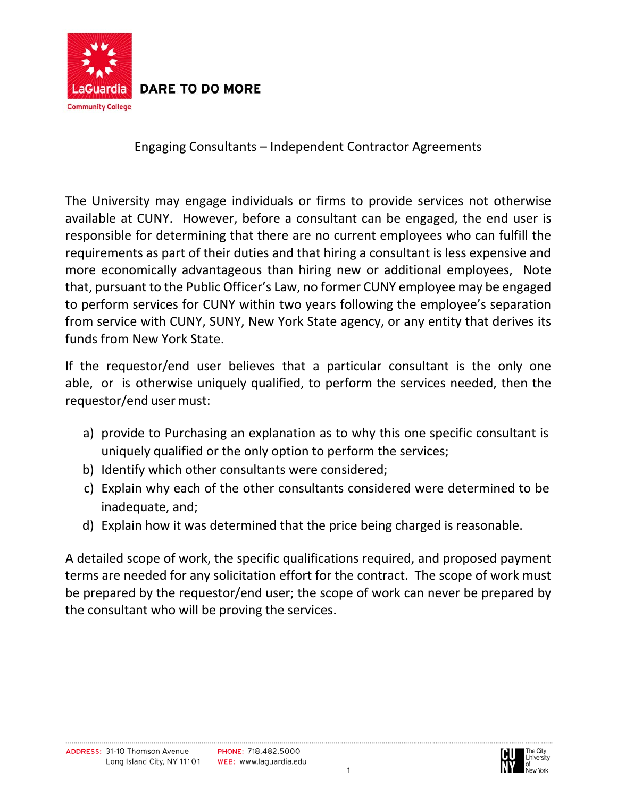

**DARE TO DO MORE** 

Engaging Consultants – Independent Contractor Agreements

The University may engage individuals or firms to provide services not otherwise available at CUNY. However, before a consultant can be engaged, the end user is responsible for determining that there are no current employees who can fulfill the requirements as part of their duties and that hiring a consultant is less expensive and more economically advantageous than hiring new or additional employees, Note that, pursuant to the Public Officer's Law, no former CUNY employee may be engaged to perform services for CUNY within two years following the employee's separation from service with CUNY, SUNY, New York State agency, or any entity that derives its funds from New York State.

If the requestor/end user believes that a particular consultant is the only one able, or is otherwise uniquely qualified, to perform the services needed, then the requestor/end user must:

- a) provide to Purchasing an explanation as to why this one specific consultant is uniquely qualified or the only option to perform the services;
- b) Identify which other consultants were considered;
- c) Explain why each of the other consultants considered were determined to be inadequate, and;
- d) Explain how it was determined that the price being charged is reasonable.

A detailed scope of work, the specific qualifications required, and proposed payment terms are needed for any solicitation effort for the contract. The scope of work must be prepared by the requestor/end user; the scope of work can never be prepared by the consultant who will be proving the services.